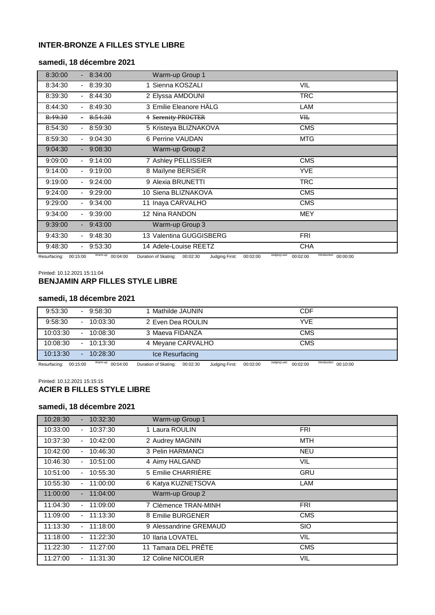# **INTER-BRONZE A FILLES STYLE LIBRE**

## **samedi, 18 décembre 2021**

| 8:30:00                    | 8:34:00            | Warm-up Group 1                                                           |                                    |
|----------------------------|--------------------|---------------------------------------------------------------------------|------------------------------------|
| 8:34:30                    | $-8:39:30$         | 1 Sienna KOSZALI                                                          | <b>VIL</b>                         |
| 8:39:30<br>$\sim$          | 8:44:30            | 2 Elyssa AMDOUNI                                                          | <b>TRC</b>                         |
| 8:44:30                    | 8:49:30            | 3 Emilie Eleanore HÄLG                                                    | LAM                                |
| 8:49:30                    | 8:54:30            | 4 Serenity PROCTER                                                        | ₩H <sub>t</sub>                    |
| 8:54:30<br>$\sim$          | 8:59:30            | 5 Kristeya BLIZNAKOVA                                                     | <b>CMS</b>                         |
| 8:59:30                    | 9:04:30            | 6 Perrine VAUDAN                                                          | <b>MTG</b>                         |
| 9:04:30                    | $-9:08:30$         | Warm-up Group 2                                                           |                                    |
| 9:09:00                    | $-9:14:00$         | 7 Ashley PELLISSIER                                                       | <b>CMS</b>                         |
| 9:14:00<br>$\sim$          | 9:19:00            | 8 Maïlyne BERSIER                                                         | YVE                                |
| 9:19:00                    | 9:24:00            | 9 Alexia BRUNETTI                                                         | <b>TRC</b>                         |
| 9:24:00                    | 9:29:00            | 10 Siena BLIZNAKOVA                                                       | <b>CMS</b>                         |
| 9:29:00                    | 9:34:00            | 11 Inaya CARVALHO                                                         | <b>CMS</b>                         |
| 9:34:00<br>$\sim$          | 9:39:00            | 12 Nina RANDON                                                            | <b>MEY</b>                         |
| 9:39:00                    | $-9:43:00$         | Warm-up Group 3                                                           |                                    |
| 9:43:30<br>$\sim$          | 9:48:30            | 13 Valentina GUGGISBERG                                                   | <b>FRI</b>                         |
| 9:48:30                    | $-9:53:30$         | 14 Adele-Louise REETZ                                                     | <b>CHA</b>                         |
| $D$ courfooing: $00.15.00$ | Warm-up: $0.04.00$ | Judging Last:<br>Duration of Clatina: 00:02:20 Judging Eirot:<br>00.02.00 | Introduction: 00:00:00<br>00.02.00 |

Resurfacing: 00:15:00 Warm-up: 00:04:00 Duration of Skating: 00:02:30 Judging First: 00:02:00 <sup>Judging Last:</sup> 00:02:00 <sup>Introduction:</sup> 00:00:00

Printed: 10.12.2021 15:11:04

## **BENJAMIN ARP FILLES STYLE LIBRE**

## **samedi, 18 décembre 2021**

| 9:53:30<br>$\overline{\phantom{a}}$            | 9:58:30            | 1 Mathilde JAUNIN.                                                                    | CDF                                                  |
|------------------------------------------------|--------------------|---------------------------------------------------------------------------------------|------------------------------------------------------|
| 9:58:30<br>$\sim$                              | 10:03:30           | 2 Even Dea ROULIN                                                                     | YVE                                                  |
| 10:03:30<br>$\overline{\phantom{a}}$           | 10:08:30           | 3 Maeva FIDANZA                                                                       | <b>CMS</b>                                           |
| 10:08:30<br>$\overline{\phantom{0}}$           | 10:13:30           | 4 Meyane CARVALHO                                                                     | CMS                                                  |
| 10:13:30<br>$\overline{a}$                     | 10:28:30           | Ice Resurfacing                                                                       |                                                      |
| $D_{\text{e}^{\text{a}}}, \text{f}^{\text{a}}$ | Warm-up: $0.04.00$ | $L_{rad} = 5.44$ $\sim 5.44$ $\sim 0.00,00,00$<br>$D$ ustian of Clientian, $00.02.20$ | Introduction: $0.40.00$<br>Judging Last:<br>00.02.00 |

Resurfacing: 00:15:00 Warm-up: 00:04:00 Duration of Skating: 00:02:30 Judging First: 00:02:00 <sup>Judging Last:</sup> 00:02:00  $n = 00:10:00$ 

Printed: 10.12.2021 15:15:15

# **ACIER B FILLES STYLE LIBRE**

## **samedi, 18 décembre 2021**

| 10:28:30 | 10:32:30<br>٠              | Warm-up Group 1        |            |
|----------|----------------------------|------------------------|------------|
| 10:33:00 | 10:37:30<br>٠              | 1 Laura ROULIN         | <b>FRI</b> |
| 10:37:30 | 10:42:00<br>۰              | 2 Audrey MAGNIN        | MTH        |
| 10:42:00 | 10:46:30<br>۰              | 3 Pelin HARMANCI       | <b>NEU</b> |
| 10:46:30 | 10:51:00                   | 4 Aimy HALGAND         | VIL        |
| 10:51:00 | 10:55:30<br>٠              | 5 Emilie CHARRIERE     | <b>GRU</b> |
| 10:55:30 | 11:00:00<br>$\blacksquare$ | 6 Katya KUZNETSOVA     | LAM        |
| 11:00:00 | 11:04:00<br>۰.             | Warm-up Group 2        |            |
| 11:04:30 | 11:09:00                   | 7 Clémence TRAN-MINH   | <b>FRI</b> |
| 11:09:00 | 11:13:30<br>$\blacksquare$ | 8 Emilie BURGENER      | <b>CMS</b> |
| 11:13:30 | 11:18:00<br>۰              | 9 Alessandrine GREMAUD | <b>SIO</b> |
| 11:18:00 | 11:22:30                   | 10 Ilaria LOVATEL      | VIL        |
| 11:22:30 | 11:27:00<br>$\blacksquare$ | 11 Tamara DEL PRÊTE    | <b>CMS</b> |
| 11:27:00 | 11:31:30                   | 12 Coline NICOLIER     | VIL        |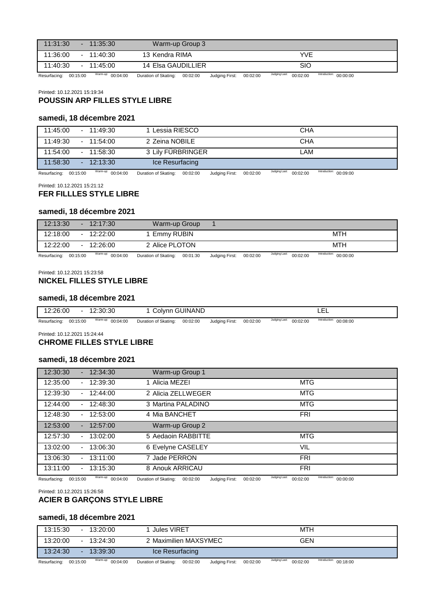| 11:31:30 | $-11:35:30$        | Warm-up Group 3    |            |
|----------|--------------------|--------------------|------------|
| 11:36:00 | 11:40:30<br>$\sim$ | 13 Kendra RIMA     | <b>YVE</b> |
| 11:40:30 | $-11:45:00$        | 14 Elsa GAUDILLIER | SIO        |
|          | .                  |                    | .          |

Resurfacing: 00:15:00 Warm-up: 00:04:00 Duration of Skating: 00:02:00 Judging First: 00:02:00 <sup>Judging Last:</sup> 00:02:00 <sup>Introduction:</sup> 00:00:00

#### Printed: 10.12.2021 15:19:34 **POUSSIN ARP FILLES STYLE LIBRE**

#### **samedi, 18 décembre 2021**

| 11:45:00<br>$-11:49:30$ | Lessia RIESCO     | CHA                                                  |
|-------------------------|-------------------|------------------------------------------------------|
| 11:49:30<br>$-11:54:00$ | 2 Zeina NOBILE    | <b>CHA</b>                                           |
| 11:54:00<br>$-11:58:30$ | 3 Lily FURBRINGER | LAM                                                  |
| 11:58:30<br>$-12:13:30$ | Ice Resurfacing   |                                                      |
| $101 - 222 - 222$       |                   | the studies of the way.<br>the transplane of several |

Resurfacing: 00:15:00 Warm-up: 00:04:00 Duration of Skating: 00:02:00 Judging First: 00:02:00 <sup>Judging Last:</sup> 00:02:00 <sup>Introduction:</sup> 00:09:00

Printed: 10.12.2021 15:21:12

## **FER FILLLES STYLE LIBRE**

### **samedi, 18 décembre 2021**

| 12:13:30                   |        |        | 12:17:30              | Warm-up Group        |                 |                       |          |               |          |                                                   |  |
|----------------------------|--------|--------|-----------------------|----------------------|-----------------|-----------------------|----------|---------------|----------|---------------------------------------------------|--|
| 12:18:00                   |        | $\sim$ | 12:22:00              | Emmy RUBIN           |                 |                       |          |               |          | <b>MTH</b>                                        |  |
| 12:22:00                   | $\sim$ |        | 12:26:00              | 2 Alice PLOTON       |                 |                       |          |               |          | MTH                                               |  |
| $D$ ocurfocing: $00.15:00$ |        |        | Warm-up: $0.04.04.00$ | Duration of Skating: | <b>00.01.20</b> | <b>Ludaina Firet:</b> | 00.02.00 | Judging Last: | 00.02.00 | Introduction: $\Omega$ $\Omega$ $\Omega$ $\Omega$ |  |

Resurfacing: 00:15:00 up: 00:04:00 Duration of Skating: 00:01:30 Judging First: 00:02:00  $^{\text{ust:}}$  00:02:00 00:00:00

#### Printed: 10.12.2021 15:23:58

#### **NICKEL FILLES STYLE LIBRE**

#### **samedi, 18 décembre 2021**

|         |   | Marmating and a contract |        |                |  |  | Introduction:  |  |
|---------|---|--------------------------|--------|----------------|--|--|----------------|--|
| 2:26:00 | - | :30:30                   | Colvnn | <b>GUINAND</b> |  |  | . .<br>-<br>ᅩᅩ |  |

Resurfacing: 00:15:00 Warm-up: 00:04:00 Duration of Skating: 00:02:00 Judging First: 00:02:00 <sup>Judging Last:</sup> 00:02:00 00:08:00

Printed: 10.12.2021 15:24:44

## **CHROME FILLES STYLE LIBRE**

## **samedi, 18 décembre 2021**

| 12:30:30 | 12:34:30                             | Warm-up Group 1    |            |
|----------|--------------------------------------|--------------------|------------|
| 12:35:00 | 12:39:30<br>٠                        | 1 Alicia MEZEI     | <b>MTG</b> |
| 12:39:30 | 12:44:00<br>٠                        | 2 Alicia ZELLWEGER | <b>MTG</b> |
| 12:44:00 | 12:48:30<br>$\overline{\phantom{0}}$ | 3 Martina PALADINO | <b>MTG</b> |
| 12:48:30 | 12:53:00                             | 4 Mia BANCHET      | <b>FRI</b> |
| 12:53:00 | 12:57:00<br>$\overline{\phantom{0}}$ | Warm-up Group 2    |            |
| 12:57:30 | 13:02:00<br>٠                        | 5 Aedaoin RABBITTE | MTG        |
| 13:02:00 | 13:06:30                             | 6 Evelyne CASELEY  | VIL        |
| 13:06:30 | 13:11:00<br>$\overline{\phantom{a}}$ | 7 Jade PERRON      | <b>FRI</b> |
| 13:11:00 | 13:15:30                             | 8 Anouk ARRICAU    | <b>FRI</b> |
|          |                                      |                    | .          |

Resurfacing: 00:15:00 Warm-up: 00:04:00 Duration of Skating: 00:02:00 Judging First: 00:02:00 <sup>Judging Last:</sup> 00:02:00 <sup>Introduction:</sup> 00:00:00

Printed: 10.12.2021 15:26:58

## **ACIER B GARÇONS STYLE LIBRE**

## **samedi, 18 décembre 2021**

| 13:15:30 | $\sim$ | 13:20:00 | Jules VIRET           | MTH |
|----------|--------|----------|-----------------------|-----|
| 13:20:00 |        | 13:24:30 | 2 Maximilien MAXSYMEC | GEN |
| 13:24:30 | -      | 13:39:30 | Ice Resurfacing       |     |

Resurfacing: 00:15:00 Warm-up: 00:04:00 Duration of Skating: 00:02:00 Judging First: 00:02:00 <sup>Judging Last:</sup> 00:02:00 <sup>Introduction:</sup> 00:18:00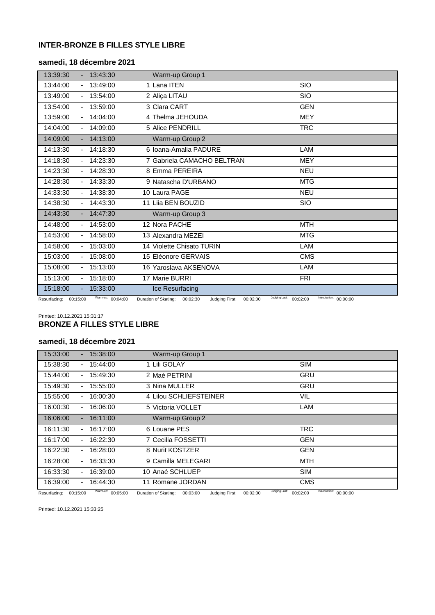# **INTER-BRONZE B FILLES STYLE LIBRE**

## **samedi, 18 décembre 2021**

| 13:39:30           | 13:43:30                                    | Warm-up Group 1            |                                                     |
|--------------------|---------------------------------------------|----------------------------|-----------------------------------------------------|
| 13:44:00           | 13:49:00                                    | 1 Lana ITEN                | <b>SIO</b>                                          |
| 13:49:00           | 13:54:00                                    | 2 Aliça LITAU              | <b>SIO</b>                                          |
| 13:54:00           | 13:59:00                                    | 3 Clara CART               | <b>GEN</b>                                          |
| 13:59:00           | 14:04:00                                    | 4 Thelma JEHOUDA           | <b>MEY</b>                                          |
| 14:04:00           | 14:09:00                                    | 5 Alice PENDRILL           | <b>TRC</b>                                          |
| 14:09:00           | 14:13:00                                    | Warm-up Group 2            |                                                     |
| 14:13:30           | 14:18:30                                    | 6 Ioana-Amalia PADURE      | LAM                                                 |
| 14:18:30           | 14:23:30                                    | 7 Gabriela CAMACHO BELTRAN | <b>MEY</b>                                          |
| 14:23:30           | 14:28:30                                    | 8 Emma PEREIRA             | <b>NEU</b>                                          |
| 14:28:30           | 14:33:30                                    | 9 Natascha D'URBANO        | <b>MTG</b>                                          |
| 14:33:30           | 14:38:30                                    | 10 Laura PAGE              | <b>NEU</b>                                          |
| 14:38:30           | 14:43:30                                    | 11 Liia BEN BOUZID         | <b>SIO</b>                                          |
| 14:43:30           | 14:47:30                                    | Warm-up Group 3            |                                                     |
| 14:48:00           | 14:53:00                                    | 12 Nora PACHE              | <b>MTH</b>                                          |
| 14:53:00           | 14:58:00                                    | 13 Alexandra MEZEI         | <b>MTG</b>                                          |
| 14:58:00           | 15:03:00                                    | 14 Violette Chisato TURIN  | LAM                                                 |
| 15:03:00           | 15:08:00                                    | 15 Eléonore GERVAIS        | <b>CMS</b>                                          |
| 15:08:00           | 15:13:00                                    | 16 Yaroslava AKSENOVA      | LAM                                                 |
| 15:13:00<br>$\sim$ | 15:18:00                                    | 17 Marie BURRI             | <b>FRI</b>                                          |
| 15:18:00           | 15:33:00                                    | Ice Resurfacing            |                                                     |
|                    | Warm-un $\alpha$ $\alpha$ $\alpha$ $\alpha$ | 000000                     | Judging Last: 60.00.00<br>Introduction: a a a a a a |

Resurfacing: 00:15:00 Warm-up: 00:04:00 Duration of Skating: 00:02:30 Judging First: 00:02:00 <sup>Judging Last:</sup> 00:02:00 <sup>Introduction:</sup> 00:00:00

## Printed: 10.12.2021 15:31:17 **BRONZE A FILLES STYLE LIBRE**

## **samedi, 18 décembre 2021**

| 15:33:00 | 15:38:00       | Warm-up Group 1        |            |
|----------|----------------|------------------------|------------|
| 15:38:30 | 15:44:00<br>۰. | 1 Lili GOLAY           | <b>SIM</b> |
| 15:44:00 | 15:49:30<br>۰  | 2 Maé PETRINI          | <b>GRU</b> |
| 15:49:30 | 15:55:00<br>٠  | 3 Nina MULLER          | <b>GRU</b> |
| 15:55:00 | 16:00:30       | 4 Lilou SCHLIEFSTEINER | VIL        |
| 16:00:30 | 16:06:00       | 5 Victoria VOLLET      | LAM        |
| 16:06:00 | 16:11:00       | Warm-up Group 2        |            |
| 16:11:30 | 16:17:00<br>٠  | 6 Louane PES           | <b>TRC</b> |
| 16:17:00 | 16:22:30       | 7 Cecilia FOSSETTI     | <b>GEN</b> |
| 16:22:30 | 16:28:00       | 8 Nurit KOSTZER        | <b>GEN</b> |
| 16:28:00 | 16:33:30       | 9 Camilla MELEGARI     | <b>MTH</b> |
| 16:33:30 | 16:39:00       | 10 Anaé SCHLUEP        | <b>SIM</b> |
| 16:39:00 | 16:44:30<br>۰. | 11 Romane JORDAN       | <b>CMS</b> |

Resurfacing: 00:15:00 Warm-up: 00:05:00 Duration of Skating: 00:03:00 Judging First: 00:02:00 <sup>Judging Last:</sup> 00:02:00 <sup>Introduction:</sup> 00:00:00

Printed: 10.12.2021 15:33:25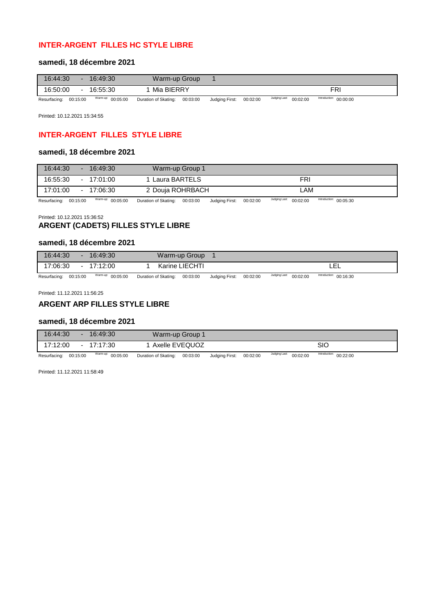# **INTER-ARGENT FILLES HC STYLE LIBRE**

## **samedi, 18 décembre 2021**

| 16:44:30     |          | 16:49:30          | Warm-up Group        |          |                |          |                           |                        |  |
|--------------|----------|-------------------|----------------------|----------|----------------|----------|---------------------------|------------------------|--|
| 16:50:00     |          | 16:55:30          | Mia BIERRY           |          |                |          |                           | FRı                    |  |
| Resurfacing: | 00:15:00 | Warm-up: 00:05:00 | Duration of Skating: | 00:03:00 | Judging First: | 00:02:00 | Judging Last:<br>00:02:00 | Introduction: 00:00:00 |  |

Printed: 10.12.2021 15:34:55

# **INTER-ARGENT FILLES STYLE LIBRE**

### **samedi, 18 décembre 2021**

| 16:44:30     | ω.       | 16:49:30          | Warm-up Group 1      |          |                |          |               |          |                        |  |  |
|--------------|----------|-------------------|----------------------|----------|----------------|----------|---------------|----------|------------------------|--|--|
| 16:55:30     |          | $-17:01:00$       | 1 Laura BARTELS      |          |                |          |               | FRI      |                        |  |  |
| 17:01:00     | $\sim$   | 17:06:30          | 2 Douja ROHRBACH     |          |                |          |               | LAM      |                        |  |  |
| Resurfacing: | 00:15:00 | Warm-up: 00:05:00 | Duration of Skating: | 00:03:00 | Judging First: | 00:02:00 | Judging Last: | 00:02:00 | Introduction: 00:05:30 |  |  |

Printed: 10.12.2021 15:36:52

# **ARGENT (CADETS) FILLES STYLE LIBRE**

## **samedi, 18 décembre 2021**

| 16:44:30     |          | 16:49:30          |                      | Warm-up Group  |                |          |                           |                        |  |
|--------------|----------|-------------------|----------------------|----------------|----------------|----------|---------------------------|------------------------|--|
| 17:06:30     |          | 17:12:00          |                      | Karine LIECHTI |                |          |                           | ---                    |  |
| Resurfacing: | 00:15:00 | Warm-up: 00:05:00 | Duration of Skating: | 00:03:00       | Judging First: | 00:02:00 | Judging Last:<br>00:02:00 | Introduction: 00:16:30 |  |

Printed: 11.12.2021 11:56:25

### **ARGENT ARP FILLES STYLE LIBRE**

### **samedi, 18 décembre 2021**

| 16:44:30              | 16:49:30          | Warm-up Group 1      |          |                |          |                           |                        |  |
|-----------------------|-------------------|----------------------|----------|----------------|----------|---------------------------|------------------------|--|
| 17:12:00              | $-17:17:30$       | Axelle EVEQUOZ       |          |                |          |                           | SIO                    |  |
| Resurfacing: 00:15:00 | Warm-up: 00:05:00 | Duration of Skating: | 00:03:00 | Judging First: | 00:02:00 | Judging Last:<br>00:02:00 | Introduction: 00:22:00 |  |

Printed: 11.12.2021 11:58:49